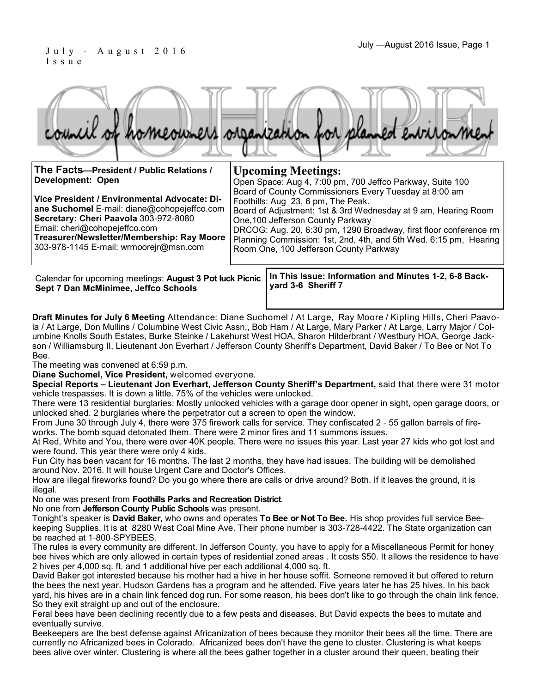## I s s u e

|  |  |  | council of homeowners organization for planned environment |
|--|--|--|------------------------------------------------------------|
|  |  |  |                                                            |
|  |  |  |                                                            |

| The Facts-President / Public Relations /                                                                                                                              | <b>Upcoming Meetings:</b>                                                                                                                                                                                                                                                |  |  |  |  |
|-----------------------------------------------------------------------------------------------------------------------------------------------------------------------|--------------------------------------------------------------------------------------------------------------------------------------------------------------------------------------------------------------------------------------------------------------------------|--|--|--|--|
| Development: Open                                                                                                                                                     | Open Space: Aug 4, 7:00 pm, 700 Jeffco Parkway, Suite 100                                                                                                                                                                                                                |  |  |  |  |
| Vice President / Environmental Advocate: Di-<br>ane Suchomel E-mail: diane@cohopejeffco.com<br>Secretary: Cheri Paavola 303-972-8080<br>Email: cheri@cohopejeffco.com | Board of County Commissioners Every Tuesday at 8:00 am<br>Foothills: Aug 23, 6 pm, The Peak.<br>Board of Adjustment: 1st & 3rd Wednesday at 9 am, Hearing Room<br>One, 100 Jefferson County Parkway<br>DRCOG: Aug. 20, 6:30 pm, 1290 Broadway, first floor conference rm |  |  |  |  |
| Treasurer/Newsletter/Membership: Ray Moore<br>303-978-1145 E-mail: wrmoorejr@msn.com                                                                                  | Planning Commission: 1st, 2nd, 4th, and 5th Wed. 6:15 pm, Hearing<br>Room One, 100 Jefferson County Parkway                                                                                                                                                              |  |  |  |  |
|                                                                                                                                                                       |                                                                                                                                                                                                                                                                          |  |  |  |  |

**Sept 7 Dan McMinimee, Jeffco Schools**

**In This Issue: Information and Minutes 1-2, 6-8 Back-**Calendar for upcoming meetings: **August 3 Pot luck Picnic yard 3-6 Sheriff 7** 

**Draft Minutes for July 6 Meeting** Attendance: Diane Suchomel / At Large, Ray Moore / Kipling Hills, Cheri Paavola / At Large, Don Mullins / Columbine West Civic Assn., Bob Ham / At Large, Mary Parker / At Large, Larry Major / Columbine Knolls South Estates, Burke Steinke / Lakehurst West HOA, Sharon Hilderbrant / Westbury HOA, George Jackson / Williamsburg II, Lieutenant Jon Everhart / Jefferson County Sheriff's Department, David Baker / To Bee or Not To Bee.

The meeting was convened at 6:59 p.m.

**Diane Suchomel, Vice President,** welcomed everyone.

**Special Reports – Lieutenant Jon Everhart, Jefferson County Sheriff's Department,** said that there were 31 motor vehicle trespasses. It is down a little. 75% of the vehicles were unlocked.

There were 13 residential burglaries: Mostly unlocked vehicles with a garage door opener in sight, open garage doors, or unlocked shed. 2 burglaries where the perpetrator cut a screen to open the window.

From June 30 through July 4, there were 375 firework calls for service. They confiscated 2 - 55 gallon barrels of fireworks. The bomb squad detonated them. There were 2 minor fires and 11 summons issues.

At Red, White and You, there were over 40K people. There were no issues this year. Last year 27 kids who got lost and were found. This year there were only 4 kids.

Fun City has been vacant for 16 months. The last 2 months, they have had issues. The building will be demolished around Nov. 2016. It will house Urgent Care and Doctor's Offices.

How are illegal fireworks found? Do you go where there are calls or drive around? Both. If it leaves the ground, it is illegal.

No one was present from **Foothills Parks and Recreation District**.

No one from **Jefferson County Public Schools** was present.

Tonight's speaker is **David Baker,** who owns and operates **To Bee or Not To Bee.** His shop provides full service Beekeeping Supplies. It is at 8280 West Coal Mine Ave. Their phone number is 303-728-4422. The State organization can be reached at 1-800-SPYBEES.

The rules is every community are different. In Jefferson County, you have to apply for a Miscellaneous Permit for honey bee hives which are only allowed in certain types of residential zoned areas . It costs \$50. It allows the residence to have 2 hives per 4,000 sq. ft. and 1 additional hive per each additional 4,000 sq. ft.

David Baker got interested because his mother had a hive in her house soffit. Someone removed it but offered to return the bees the next year. Hudson Gardens has a program and he attended. Five years later he has 25 hives. In his back yard, his hives are in a chain link fenced dog run. For some reason, his bees don't like to go through the chain link fence. So they exit straight up and out of the enclosure.

Feral bees have been declining recently due to a few pests and diseases. But David expects the bees to mutate and eventually survive.

Beekeepers are the best defense against Africanization of bees because they monitor their bees all the time. There are currently no Africanized bees in Colorado. Africanized bees don't have the gene to cluster. Clustering is what keeps bees alive over winter. Clustering is where all the bees gather together in a cluster around their queen, beating their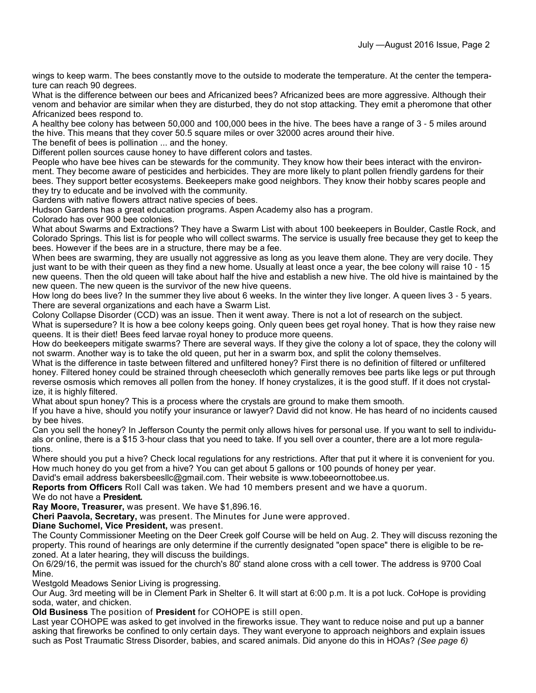wings to keep warm. The bees constantly move to the outside to moderate the temperature. At the center the temperature can reach 90 degrees.

What is the difference between our bees and Africanized bees? Africanized bees are more aggressive. Although their venom and behavior are similar when they are disturbed, they do not stop attacking. They emit a pheromone that other Africanized bees respond to.

A healthy bee colony has between 50,000 and 100,000 bees in the hive. The bees have a range of 3 - 5 miles around the hive. This means that they cover 50.5 square miles or over 32000 acres around their hive.

The benefit of bees is pollination ... and the honey.

Different pollen sources cause honey to have different colors and tastes.

People who have bee hives can be stewards for the community. They know how their bees interact with the environment. They become aware of pesticides and herbicides. They are more likely to plant pollen friendly gardens for their bees. They support better ecosystems. Beekeepers make good neighbors. They know their hobby scares people and they try to educate and be involved with the community.

Gardens with native flowers attract native species of bees.

Hudson Gardens has a great education programs. Aspen Academy also has a program.

Colorado has over 900 bee colonies.

What about Swarms and Extractions? They have a Swarm List with about 100 beekeepers in Boulder, Castle Rock, and Colorado Springs. This list is for people who will collect swarms. The service is usually free because they get to keep the bees. However if the bees are in a structure, there may be a fee.

When bees are swarming, they are usually not aggressive as long as you leave them alone. They are very docile. They just want to be with their queen as they find a new home. Usually at least once a year, the bee colony will raise 10 - 15 new queens. Then the old queen will take about half the hive and establish a new hive. The old hive is maintained by the new queen. The new queen is the survivor of the new hive queens.

How long do bees live? In the summer they live about 6 weeks. In the winter they live longer. A queen lives 3 - 5 years. There are several organizations and each have a Swarm List.

Colony Collapse Disorder (CCD) was an issue. Then it went away. There is not a lot of research on the subject.

What is supersedure? It is how a bee colony keeps going. Only queen bees get royal honey. That is how they raise new queens. It is their diet! Bees feed larvae royal honey to produce more queens.

How do beekeepers mitigate swarms? There are several ways. If they give the colony a lot of space, they the colony will not swarm. Another way is to take the old queen, put her in a swarm box, and split the colony themselves.

What is the difference in taste between filtered and unfiltered honey? First there is no definition of filtered or unfiltered honey. Filtered honey could be strained through cheesecloth which generally removes bee parts like legs or put through reverse osmosis which removes all pollen from the honey. If honey crystalizes, it is the good stuff. If it does not crystalize, it is highly filtered.

What about spun honey? This is a process where the crystals are ground to make them smooth.

If you have a hive, should you notify your insurance or lawyer? David did not know. He has heard of no incidents caused by bee hives.

Can you sell the honey? In Jefferson County the permit only allows hives for personal use. If you want to sell to individuals or online, there is a \$15 3-hour class that you need to take. If you sell over a counter, there are a lot more regulations.

Where should you put a hive? Check local regulations for any restrictions. After that put it where it is convenient for you. How much honey do you get from a hive? You can get about 5 gallons or 100 pounds of honey per year.

David's email address bakersbeesllc@gmail.com. Their website is www.tobeeornottobee.us.

**Reports from Officers** Roll Call was taken. We had 10 members present and we have a quorum.

We do not have a **President.**

**Ray Moore, Treasurer,** was present. We have \$1,896.16.

**Cheri Paavola, Secretary,** was present. The Minutes for June were approved.

**Diane Suchomel, Vice President,** was present.

The County Commissioner Meeting on the Deer Creek golf Course will be held on Aug. 2. They will discuss rezoning the property. This round of hearings are only determine if the currently designated "open space" there is eligible to be rezoned. At a later hearing, they will discuss the buildings.

On 6/29/16, the permit was issued for the church's 80' stand alone cross with a cell tower. The address is 9700 Coal Mine.

Westgold Meadows Senior Living is progressing.

Our Aug. 3rd meeting will be in Clement Park in Shelter 6. It will start at 6:00 p.m. It is a pot luck. CoHope is providing soda, water, and chicken.

**Old Business** The position of **President** for COHOPE is still open.

Last year COHOPE was asked to get involved in the fireworks issue. They want to reduce noise and put up a banner asking that fireworks be confined to only certain days. They want everyone to approach neighbors and explain issues such as Post Traumatic Stress Disorder, babies, and scared animals. Did anyone do this in HOAs? *(See page 6)*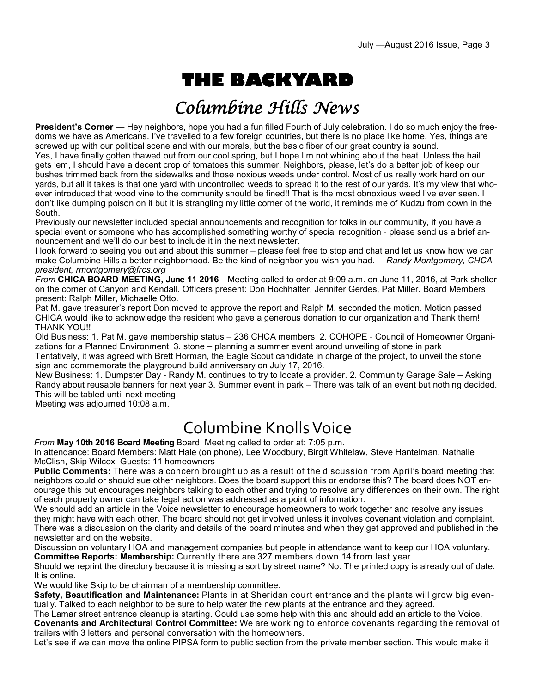# **THE BACKYARD**

## Columbine Hills News

**President's Corner** — Hey neighbors, hope you had a fun filled Fourth of July celebration. I do so much enjoy the freedoms we have as Americans. I've travelled to a few foreign countries, but there is no place like home. Yes, things are screwed up with our political scene and with our morals, but the basic fiber of our great country is sound.

Yes, I have finally gotten thawed out from our cool spring, but I hope I'm not whining about the heat. Unless the hail gets 'em, I should have a decent crop of tomatoes this summer. Neighbors, please, let's do a better job of keep our bushes trimmed back from the sidewalks and those noxious weeds under control. Most of us really work hard on our yards, but all it takes is that one yard with uncontrolled weeds to spread it to the rest of our yards. It's my view that whoever introduced that wood vine to the community should be fined!! That is the most obnoxious weed I've ever seen. I don't like dumping poison on it but it is strangling my little corner of the world, it reminds me of Kudzu from down in the South.

Previously our newsletter included special announcements and recognition for folks in our community, if you have a special event or someone who has accomplished something worthy of special recognition - please send us a brief announcement and we'll do our best to include it in the next newsletter.

I look forward to seeing you out and about this summer – please feel free to stop and chat and let us know how we can make Columbine Hills a better neighborhood. Be the kind of neighbor you wish you had.— *Randy Montgomery, CHCA president, rmontgomery@frcs.org*

*From* **CHICA BOARD MEETING, June 11 2016**—Meeting called to order at 9:09 a.m. on June 11, 2016, at Park shelter on the corner of Canyon and Kendall. Officers present: Don Hochhalter, Jennifer Gerdes, Pat Miller. Board Members present: Ralph Miller, Michaelle Otto.

Pat M. gave treasurer's report Don moved to approve the report and Ralph M. seconded the motion. Motion passed CHICA would like to acknowledge the resident who gave a generous donation to our organization and Thank them! THANK YOU!!

Old Business: 1. Pat M. gave membership status – 236 CHCA members 2. COHOPE - Council of Homeowner Organizations for a Planned Environment 3. stone – planning a summer event around unveiling of stone in park Tentatively, it was agreed with Brett Horman, the Eagle Scout candidate in charge of the project, to unveil the stone sign and commemorate the playground build anniversary on July 17, 2016.

New Business: 1. Dumpster Day - Randy M. continues to try to locate a provider. 2. Community Garage Sale – Asking Randy about reusable banners for next year 3. Summer event in park – There was talk of an event but nothing decided. This will be tabled until next meeting

Meeting was adjourned 10:08 a.m.

## Columbine Knolls Voice

*From* **May 10th 2016 Board Meeting** Board Meeting called to order at: 7:05 p.m.

In attendance: Board Members: Matt Hale (on phone), Lee Woodbury, Birgit Whitelaw, Steve Hantelman, Nathalie McClish, Skip Wilcox Guests: 11 homeowners

**Public Comments:** There was a concern brought up as a result of the discussion from April's board meeting that neighbors could or should sue other neighbors. Does the board support this or endorse this? The board does NOT encourage this but encourages neighbors talking to each other and trying to resolve any differences on their own. The right of each property owner can take legal action was addressed as a point of information.

We should add an article in the Voice newsletter to encourage homeowners to work together and resolve any issues they might have with each other. The board should not get involved unless it involves covenant violation and complaint. There was a discussion on the clarity and details of the board minutes and when they get approved and published in the newsletter and on the website.

Discussion on voluntary HOA and management companies but people in attendance want to keep our HOA voluntary. **Committee Reports: Membership:** Currently there are 327 members down 14 from last year.

Should we reprint the directory because it is missing a sort by street name? No. The printed copy is already out of date. It is online.

We would like Skip to be chairman of a membership committee.

**Safety, Beautification and Maintenance:** Plants in at Sheridan court entrance and the plants will grow big eventually. Talked to each neighbor to be sure to help water the new plants at the entrance and they agreed.

The Lamar street entrance cleanup is starting. Could use some help with this and should add an article to the Voice. **Covenants and Architectural Control Committee:** We are working to enforce covenants regarding the removal of trailers with 3 letters and personal conversation with the homeowners.

Let's see if we can move the online PIPSA form to public section from the private member section. This would make it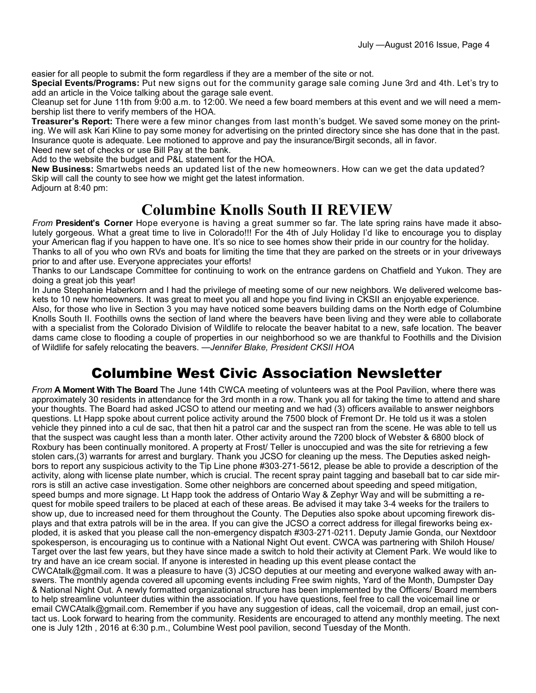easier for all people to submit the form regardless if they are a member of the site or not.

**Special Events/Programs:** Put new signs out for the community garage sale coming June 3rd and 4th. Let's try to add an article in the Voice talking about the garage sale event.

Cleanup set for June 11th from 9:00 a.m. to 12:00. We need a few board members at this event and we will need a membership list there to verify members of the HOA.

**Treasurer's Report:** There were a few minor changes from last month's budget. We saved some money on the printing. We will ask Kari Kline to pay some money for advertising on the printed directory since she has done that in the past. Insurance quote is adequate. Lee motioned to approve and pay the insurance/Birgit seconds, all in favor. Need new set of checks or use Bill Pay at the bank.

Add to the website the budget and P&L statement for the HOA.

**New Business:** Smartwebs needs an updated list of the new homeowners. How can we get the data updated? Skip will call the county to see how we might get the latest information. Adjourn at 8:40 pm:

#### **Columbine Knolls South II REVIEW**

*From* **President's Corner** Hope everyone is having a great summer so far. The late spring rains have made it absolutely gorgeous. What a great time to live in Colorado!!! For the 4th of July Holiday I'd like to encourage you to display your American flag if you happen to have one. It's so nice to see homes show their pride in our country for the holiday. Thanks to all of you who own RVs and boats for limiting the time that they are parked on the streets or in your driveways prior to and after use. Everyone appreciates your efforts!

Thanks to our Landscape Committee for continuing to work on the entrance gardens on Chatfield and Yukon. They are doing a great job this year!

In June Stephanie Haberkorn and I had the privilege of meeting some of our new neighbors. We delivered welcome baskets to 10 new homeowners. It was great to meet you all and hope you find living in CKSII an enjoyable experience.

Also, for those who live in Section 3 you may have noticed some beavers building dams on the North edge of Columbine Knolls South II. Foothills owns the section of land where the beavers have been living and they were able to collaborate with a specialist from the Colorado Division of Wildlife to relocate the beaver habitat to a new, safe location. The beaver dams came close to flooding a couple of properties in our neighborhood so we are thankful to Foothills and the Division of Wildlife for safely relocating the beavers. —*Jennifer Blake, President CKSII HOA*

### Columbine West Civic Association Newsletter

*From* **A Moment With The Board** The June 14th CWCA meeting of volunteers was at the Pool Pavilion, where there was approximately 30 residents in attendance for the 3rd month in a row. Thank you all for taking the time to attend and share your thoughts. The Board had asked JCSO to attend our meeting and we had (3) officers available to answer neighbors questions. Lt Happ spoke about current police activity around the 7500 block of Fremont Dr. He told us it was a stolen vehicle they pinned into a cul de sac, that then hit a patrol car and the suspect ran from the scene. He was able to tell us that the suspect was caught less than a month later. Other activity around the 7200 block of Webster & 6800 block of Roxbury has been continually monitored. A property at Frost/ Teller is unoccupied and was the site for retrieving a few stolen cars,(3) warrants for arrest and burglary. Thank you JCSO for cleaning up the mess. The Deputies asked neighbors to report any suspicious activity to the Tip Line phone #303-271-5612, please be able to provide a description of the activity, along with license plate number, which is crucial. The recent spray paint tagging and baseball bat to car side mirrors is still an active case investigation. Some other neighbors are concerned about speeding and speed mitigation, speed bumps and more signage. Lt Happ took the address of Ontario Way & Zephyr Way and will be submitting a request for mobile speed trailers to be placed at each of these areas. Be advised it may take 3-4 weeks for the trailers to show up, due to increased need for them throughout the County. The Deputies also spoke about upcoming firework displays and that extra patrols will be in the area. If you can give the JCSO a correct address for illegal fireworks being exploded, it is asked that you please call the non-emergency dispatch #303-271-0211. Deputy Jamie Gonda, our Nextdoor spokesperson, is encouraging us to continue with a National Night Out event. CWCA was partnering with Shiloh House/ Target over the last few years, but they have since made a switch to hold their activity at Clement Park. We would like to try and have an ice cream social. If anyone is interested in heading up this event please contact the CWCAtalk@gmail.com. It was a pleasure to have (3) JCSO deputies at our meeting and everyone walked away with answers. The monthly agenda covered all upcoming events including Free swim nights, Yard of the Month, Dumpster Day & National Night Out. A newly formatted organizational structure has been implemented by the Officers/ Board members to help streamline volunteer duties within the association. If you have questions, feel free to call the voicemail line or

email CWCAtalk@gmail.com. Remember if you have any suggestion of ideas, call the voicemail, drop an email, just contact us. Look forward to hearing from the community. Residents are encouraged to attend any monthly meeting. The next one is July 12th , 2016 at 6:30 p.m., Columbine West pool pavilion, second Tuesday of the Month.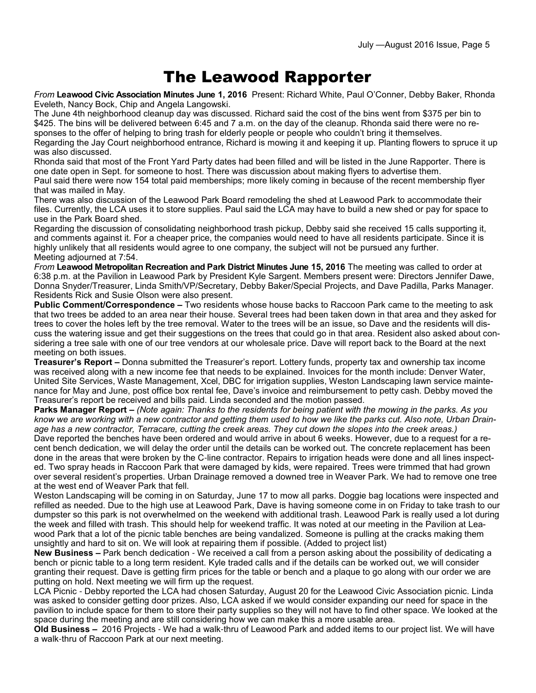### The Leawood Rapporter

*From* **Leawood Civic Association Minutes June 1, 2016** Present: Richard White, Paul O'Conner, Debby Baker, Rhonda Eveleth, Nancy Bock, Chip and Angela Langowski.

The June 4th neighborhood cleanup day was discussed. Richard said the cost of the bins went from \$375 per bin to \$425. The bins will be delivered between 6:45 and 7 a.m. on the day of the cleanup. Rhonda said there were no responses to the offer of helping to bring trash for elderly people or people who couldn't bring it themselves.

Regarding the Jay Court neighborhood entrance, Richard is mowing it and keeping it up. Planting flowers to spruce it up was also discussed.

Rhonda said that most of the Front Yard Party dates had been filled and will be listed in the June Rapporter. There is one date open in Sept. for someone to host. There was discussion about making flyers to advertise them. Paul said there were now 154 total paid memberships; more likely coming in because of the recent membership flyer that was mailed in May.

There was also discussion of the Leawood Park Board remodeling the shed at Leawood Park to accommodate their files. Currently, the LCA uses it to store supplies. Paul said the LCA may have to build a new shed or pay for space to use in the Park Board shed.

Regarding the discussion of consolidating neighborhood trash pickup, Debby said she received 15 calls supporting it, and comments against it. For a cheaper price, the companies would need to have all residents participate. Since it is highly unlikely that all residents would agree to one company, the subject will not be pursued any further. Meeting adjourned at 7:54.

*From* **Leawood Metropolitan Recreation and Park District Minutes June 15, 2016** The meeting was called to order at 6:38 p.m. at the Pavilion in Leawood Park by President Kyle Sargent. Members present were: Directors Jennifer Dawe, Donna Snyder/Treasurer, Linda Smith/VP/Secretary, Debby Baker/Special Projects, and Dave Padilla, Parks Manager. Residents Rick and Susie Olson were also present.

**Public Comment/Correspondence –** Two residents whose house backs to Raccoon Park came to the meeting to ask that two trees be added to an area near their house. Several trees had been taken down in that area and they asked for trees to cover the holes left by the tree removal. Water to the trees will be an issue, so Dave and the residents will discuss the watering issue and get their suggestions on the trees that could go in that area. Resident also asked about considering a tree sale with one of our tree vendors at our wholesale price. Dave will report back to the Board at the next meeting on both issues.

**Treasurer's Report –** Donna submitted the Treasurer's report. Lottery funds, property tax and ownership tax income was received along with a new income fee that needs to be explained. Invoices for the month include: Denver Water, United Site Services, Waste Management, Xcel, DBC for irrigation supplies, Weston Landscaping lawn service maintenance for May and June, post office box rental fee, Dave's invoice and reimbursement to petty cash. Debby moved the Treasurer's report be received and bills paid. Linda seconded and the motion passed.

**Parks Manager Report –** *(Note again: Thanks to the residents for being patient with the mowing in the parks. As you know we are working with a new contractor and getting them used to how we like the parks cut. Also note, Urban Drainage has a new contractor, Terracare, cutting the creek areas. They cut down the slopes into the creek areas.)*

Dave reported the benches have been ordered and would arrive in about 6 weeks. However, due to a request for a recent bench dedication, we will delay the order until the details can be worked out. The concrete replacement has been done in the areas that were broken by the C-line contractor. Repairs to irrigation heads were done and all lines inspected. Two spray heads in Raccoon Park that were damaged by kids, were repaired. Trees were trimmed that had grown over several resident's properties. Urban Drainage removed a downed tree in Weaver Park. We had to remove one tree at the west end of Weaver Park that fell.

Weston Landscaping will be coming in on Saturday, June 17 to mow all parks. Doggie bag locations were inspected and refilled as needed. Due to the high use at Leawood Park, Dave is having someone come in on Friday to take trash to our dumpster so this park is not overwhelmed on the weekend with additional trash. Leawood Park is really used a lot during the week and filled with trash. This should help for weekend traffic. It was noted at our meeting in the Pavilion at Leawood Park that a lot of the picnic table benches are being vandalized. Someone is pulling at the cracks making them unsightly and hard to sit on. We will look at repairing them if possible. (Added to project list)

**New Business –** Park bench dedication - We received a call from a person asking about the possibility of dedicating a bench or picnic table to a long term resident. Kyle traded calls and if the details can be worked out, we will consider granting their request. Dave is getting firm prices for the table or bench and a plaque to go along with our order we are putting on hold. Next meeting we will firm up the request.

LCA Picnic - Debby reported the LCA had chosen Saturday, August 20 for the Leawood Civic Association picnic. Linda was asked to consider getting door prizes. Also, LCA asked if we would consider expanding our need for space in the pavilion to include space for them to store their party supplies so they will not have to find other space. We looked at the space during the meeting and are still considering how we can make this a more usable area.

**Old Business –** 2016 Projects - We had a walk-thru of Leawood Park and added items to our project list. We will have a walk-thru of Raccoon Park at our next meeting.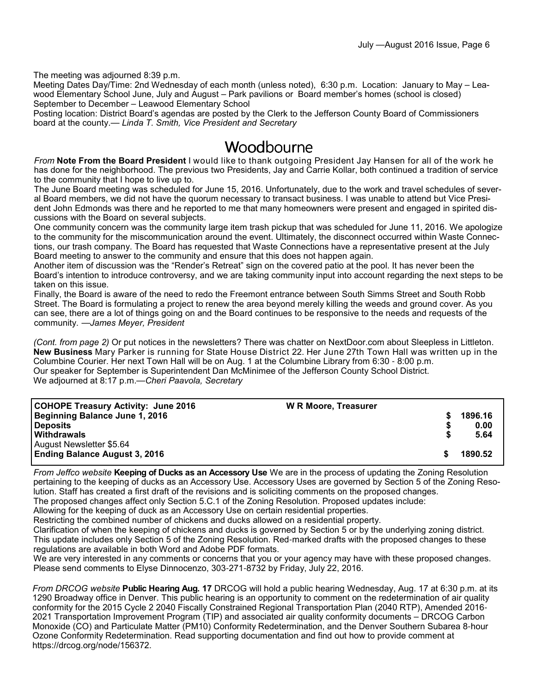The meeting was adjourned 8:39 p.m.

Meeting Dates Day/Time: 2nd Wednesday of each month (unless noted), 6:30 p.m. Location: January to May – Leawood Elementary School June, July and August – Park pavilions or Board member's homes (school is closed) September to December – Leawood Elementary School

Posting location: District Board's agendas are posted by the Clerk to the Jefferson County Board of Commissioners board at the county.— *Linda T. Smith, Vice President and Secretary*

#### Woodbourne

*From* **Note From the Board President** I would like to thank outgoing President Jay Hansen for all of the work he has done for the neighborhood. The previous two Presidents, Jay and Carrie Kollar, both continued a tradition of service to the community that I hope to live up to.

The June Board meeting was scheduled for June 15, 2016. Unfortunately, due to the work and travel schedules of several Board members, we did not have the quorum necessary to transact business. I was unable to attend but Vice President John Edmonds was there and he reported to me that many homeowners were present and engaged in spirited discussions with the Board on several subjects.

One community concern was the community large item trash pickup that was scheduled for June 11, 2016. We apologize to the community for the miscommunication around the event. Ultimately, the disconnect occurred within Waste Connections, our trash company. The Board has requested that Waste Connections have a representative present at the July Board meeting to answer to the community and ensure that this does not happen again.

Another item of discussion was the "Render's Retreat" sign on the covered patio at the pool. It has never been the Board's intention to introduce controversy, and we are taking community input into account regarding the next steps to be taken on this issue.

Finally, the Board is aware of the need to redo the Freemont entrance between South Simms Street and South Robb Street. The Board is formulating a project to renew the area beyond merely killing the weeds and ground cover. As you can see, there are a lot of things going on and the Board continues to be responsive to the needs and requests of the community. —*James Meyer, President*

*(Cont. from page 2)* Or put notices in the newsletters? There was chatter on NextDoor.com about Sleepless in Littleton. **New Business** Mary Parker is running for State House District 22. Her June 27th Town Hall was written up in the Columbine Courier. Her next Town Hall will be on Aug. 1 at the Columbine Library from 6:30 - 8:00 p.m. Our speaker for September is Superintendent Dan McMinimee of the Jefferson County School District. We adjourned at 8:17 p.m.—*Cheri Paavola, Secretary*

| <b>COHOPE Treasury Activity: June 2016</b> | <b>W R Moore, Treasurer</b> |         |
|--------------------------------------------|-----------------------------|---------|
| <b>Beginning Balance June 1, 2016</b>      |                             | 1896.16 |
| <b>Deposits</b>                            |                             | 0.00    |
| <b>Withdrawals</b>                         |                             | 5.64    |
| August Newsletter \$5.64                   |                             |         |
| <b>Ending Balance August 3, 2016</b>       |                             | 1890.52 |
|                                            |                             |         |

*From Jeffco website* **Keeping of Ducks as an Accessory Use** We are in the process of updating the Zoning Resolution pertaining to the keeping of ducks as an Accessory Use. Accessory Uses are governed by Section 5 of the Zoning Resolution. Staff has created a first draft of the revisions and is soliciting comments on the proposed changes.

The proposed changes affect only Section 5.C.1 of the Zoning Resolution. Proposed updates include: Allowing for the keeping of duck as an Accessory Use on certain residential properties.

Restricting the combined number of chickens and ducks allowed on a residential property.

Clarification of when the keeping of chickens and ducks is governed by Section 5 or by the underlying zoning district. This update includes only Section 5 of the Zoning Resolution. Red-marked drafts with the proposed changes to these regulations are available in both Word and Adobe PDF formats.

We are very interested in any comments or concerns that you or your agency may have with these proposed changes. Please send comments to Elyse Dinnocenzo, 303-271-8732 by Friday, July 22, 2016.

*From DRCOG website* **Public Hearing Aug. 17** DRCOG will hold a public hearing Wednesday, Aug. 17 at 6:30 p.m. at its 1290 Broadway office in Denver. This public hearing is an opportunity to comment on the redetermination of air quality conformity for the 2015 Cycle 2 2040 Fiscally Constrained Regional Transportation Plan (2040 RTP), Amended 2016- 2021 Transportation Improvement Program (TIP) and associated air quality conformity documents – DRCOG Carbon Monoxide (CO) and Particulate Matter (PM10) Conformity Redetermination, and the Denver Southern Subarea 8-hour Ozone Conformity Redetermination. Read supporting documentation and find out how to provide comment at https://drcog.org/node/156372.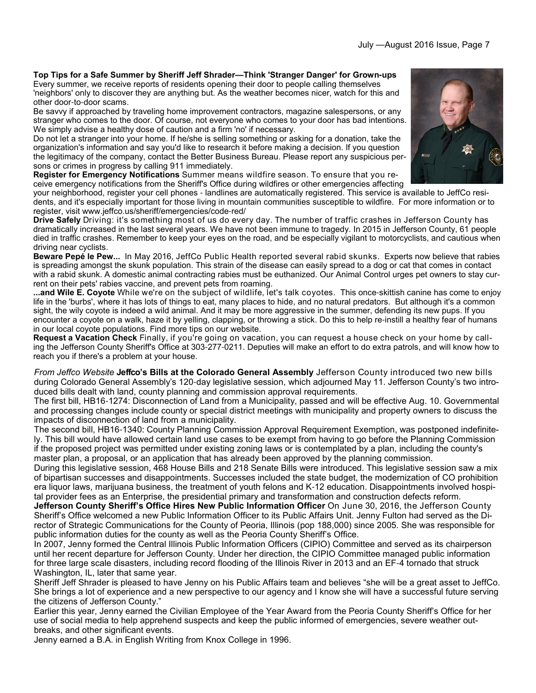**Top Tips for a Safe Summer by Sheriff Jeff Shrader—Think 'Stranger Danger' for Grown-ups** Every summer, we receive reports of residents opening their door to people calling themselves 'neighbors' only to discover they are anything but. As the weather becomes nicer, watch for this and other door-to-door scams.

Be savvy if approached by traveling home improvement contractors, magazine salespersons, or any stranger who comes to the door. Of course, not everyone who comes to your door has bad intentions. We simply advise a healthy dose of caution and a firm 'no' if necessary.

Do not let a stranger into your home. If he/she is selling something or asking for a donation, take the organization's information and say you'd like to research it before making a decision. If you question the legitimacy of the company, contact the Better Business Bureau. Please report any suspicious persons or crimes in progress by calling 911 immediately.

**Register for Emergency Notifications** Summer means wildfire season. To ensure that you receive emergency notifications from the Sheriff's Office during wildfires or other emergencies affecting

your neighborhood, register your cell phones - landlines are automatically registered. This service is available to JeffCo residents, and it's especially important for those living in mountain communities susceptible to wildfire. For more information or to register, visit www.jeffco.us/sheriff/emergencies/code-red/

**Drive Safely** Driving: it's something most of us do every day. The number of traffic crashes in Jefferson County has dramatically increased in the last several years. We have not been immune to tragedy. In 2015 in Jefferson County, 61 people died in traffic crashes. Remember to keep your eyes on the road, and be especially vigilant to motorcyclists, and cautious when driving near cyclists.

**Beware Pepé le Pew...** In May 2016, JeffCo Public Health reported several rabid skunks. Experts now believe that rabies is spreading amongst the skunk population. This strain of the disease can easily spread to a dog or cat that comes in contact with a rabid skunk. A domestic animal contracting rabies must be euthanized. Our Animal Control urges pet owners to stay current on their pets' rabies vaccine, and prevent pets from roaming.

**...and Wile E. Coyote** While we're on the subject of wildlife, let's talk coyotes. This once-skittish canine has come to enjoy life in the 'burbs', where it has lots of things to eat, many places to hide, and no natural predators. But although it's a common sight, the wily coyote is indeed a wild animal. And it may be more aggressive in the summer, defending its new pups. If you encounter a coyote on a walk, haze it by yelling, clapping, or throwing a stick. Do this to help re-instill a healthy fear of humans in our local coyote populations. Find more tips on our website.

**Request a Vacation Check** Finally, if you're going on vacation, you can request a house check on your home by calling the Jefferson County Sheriff's Office at 303-277-0211. Deputies will make an effort to do extra patrols, and will know how to reach you if there's a problem at your house.

*From Jeffco Website* **Jeffco's Bills at the Colorado General Assembly** Jefferson County introduced two new bills during Colorado General Assembly's 120-day legislative session, which adjourned May 11. Jefferson County's two introduced bills dealt with land, county planning and commission approval requirements.

The first bill, HB16-1274: Disconnection of Land from a Municipality, passed and will be effective Aug. 10. Governmental and processing changes include county or special district meetings with municipality and property owners to discuss the impacts of disconnection of land from a municipality.

The second bill, HB16-1340: County Planning Commission Approval Requirement Exemption, was postponed indefinitely. This bill would have allowed certain land use cases to be exempt from having to go before the Planning Commission if the proposed project was permitted under existing zoning laws or is contemplated by a plan, including the county's master plan, a proposal, or an application that has already been approved by the planning commission.

During this legislative session, 468 House Bills and 218 Senate Bills were introduced. This legislative session saw a mix of bipartisan successes and disappointments. Successes included the state budget, the modernization of CO prohibition era liquor laws, marijuana business, the treatment of youth felons and K-12 education. Disappointments involved hospital provider fees as an Enterprise, the presidential primary and transformation and construction defects reform.

**Jefferson County Sheriff's Office Hires New Public Information Officer** On June 30, 2016, the Jefferson County Sheriff's Office welcomed a new Public Information Officer to its Public Affairs Unit. Jenny Fulton had served as the Director of Strategic Communications for the County of Peoria, Illinois (pop 188,000) since 2005. She was responsible for public information duties for the county as well as the Peoria County Sheriff's Office.

In 2007, Jenny formed the Central Illinois Public Information Officers (CIPIO) Committee and served as its chairperson until her recent departure for Jefferson County. Under her direction, the CIPIO Committee managed public information for three large scale disasters, including record flooding of the Illinois River in 2013 and an EF-4 tornado that struck Washington, IL, later that same year.

Sheriff Jeff Shrader is pleased to have Jenny on his Public Affairs team and believes "she will be a great asset to JeffCo. She brings a lot of experience and a new perspective to our agency and I know she will have a successful future serving the citizens of Jefferson County."

Earlier this year, Jenny earned the Civilian Employee of the Year Award from the Peoria County Sheriff's Office for her use of social media to help apprehend suspects and keep the public informed of emergencies, severe weather outbreaks, and other significant events.

Jenny earned a B.A. in English Writing from Knox College in 1996.